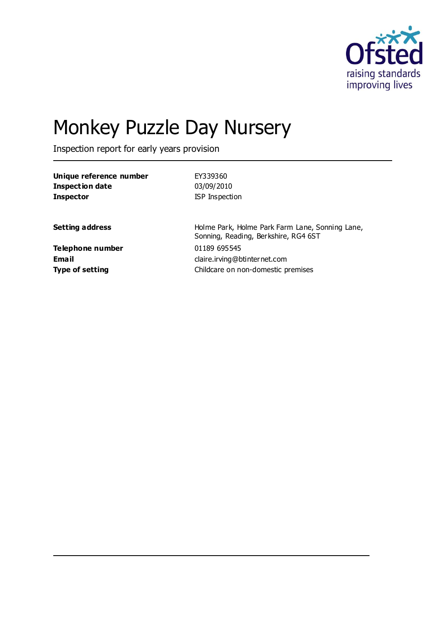

# Monkey Puzzle Day Nursery

Inspection report for early years provision

| Unique reference number | EY339360                                                                                |
|-------------------------|-----------------------------------------------------------------------------------------|
| <b>Inspection date</b>  | 03/09/2010                                                                              |
| <b>Inspector</b>        | ISP Inspection                                                                          |
|                         |                                                                                         |
| <b>Setting address</b>  | Holme Park, Holme Park Farm Lane, Sonning Lane,<br>Sonning, Reading, Berkshire, RG4 6ST |
| Telephone number        | 01189 695545                                                                            |
| <b>Email</b>            | claire.irving@btinternet.com                                                            |
| <b>Type of setting</b>  | Childcare on non-domestic premises                                                      |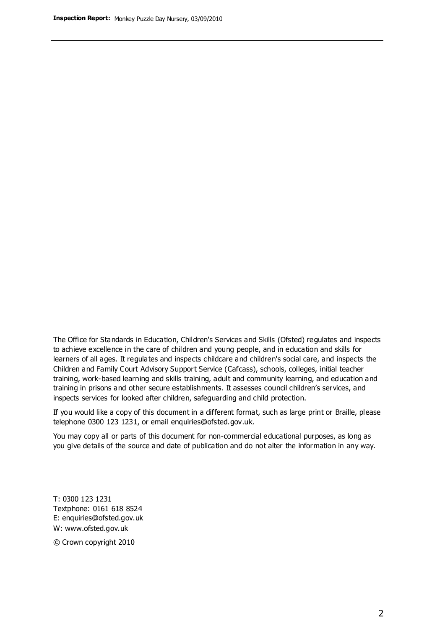The Office for Standards in Education, Children's Services and Skills (Ofsted) regulates and inspects to achieve excellence in the care of children and young people, and in education and skills for learners of all ages. It regulates and inspects childcare and children's social care, and inspects the Children and Family Court Advisory Support Service (Cafcass), schools, colleges, initial teacher training, work-based learning and skills training, adult and community learning, and education and training in prisons and other secure establishments. It assesses council children's services, and inspects services for looked after children, safeguarding and child protection.

If you would like a copy of this document in a different format, such as large print or Braille, please telephone 0300 123 1231, or email enquiries@ofsted.gov.uk.

You may copy all or parts of this document for non-commercial educational purposes, as long as you give details of the source and date of publication and do not alter the information in any way.

T: 0300 123 1231 Textphone: 0161 618 8524 E: enquiries@ofsted.gov.uk W: [www.ofsted.gov.uk](http://www.ofsted.gov.uk/)

© Crown copyright 2010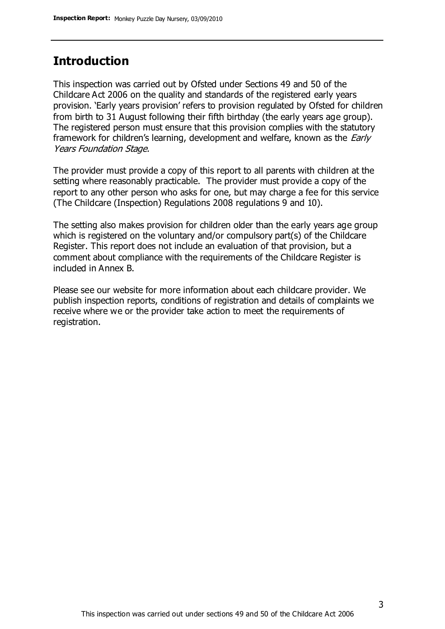## **Introduction**

This inspection was carried out by Ofsted under Sections 49 and 50 of the Childcare Act 2006 on the quality and standards of the registered early years provision. 'Early years provision' refers to provision regulated by Ofsted for children from birth to 31 August following their fifth birthday (the early years age group). The registered person must ensure that this provision complies with the statutory framework for children's learning, development and welfare, known as the *Early* Years Foundation Stage.

The provider must provide a copy of this report to all parents with children at the setting where reasonably practicable. The provider must provide a copy of the report to any other person who asks for one, but may charge a fee for this service (The Childcare (Inspection) Regulations 2008 regulations 9 and 10).

The setting also makes provision for children older than the early years age group which is registered on the voluntary and/or compulsory part(s) of the Childcare Register. This report does not include an evaluation of that provision, but a comment about compliance with the requirements of the Childcare Register is included in Annex B.

Please see our website for more information about each childcare provider. We publish inspection reports, conditions of registration and details of complaints we receive where we or the provider take action to meet the requirements of registration.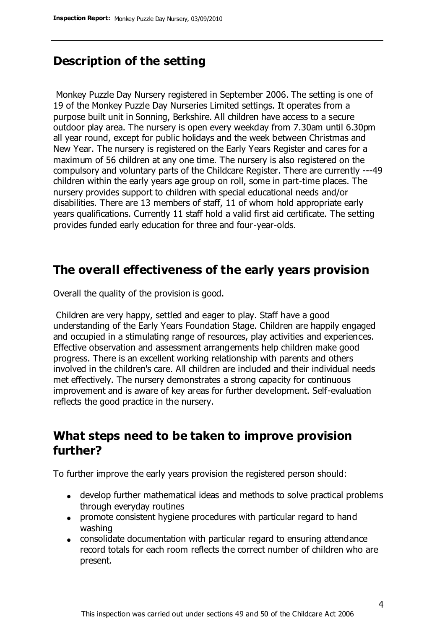# **Description of the setting**

Monkey Puzzle Day Nursery registered in September 2006. The setting is one of 19 of the Monkey Puzzle Day Nurseries Limited settings. It operates from a purpose built unit in Sonning, Berkshire. All children have access to a secure outdoor play area. The nursery is open every weekday from 7.30am until 6.30pm all year round, except for public holidays and the week between Christmas and New Year. The nursery is registered on the Early Years Register and cares for a maximum of 56 children at any one time. The nursery is also registered on the compulsory and voluntary parts of the Childcare Register. There are currently ---49 children within the early years age group on roll, some in part-time places. The nursery provides support to children with special educational needs and/or disabilities. There are 13 members of staff, 11 of whom hold appropriate early years qualifications. Currently 11 staff hold a valid first aid certificate. The setting provides funded early education for three and four-year-olds.

## **The overall effectiveness of the early years provision**

Overall the quality of the provision is good.

Children are very happy, settled and eager to play. Staff have a good understanding of the Early Years Foundation Stage. Children are happily engaged and occupied in a stimulating range of resources, play activities and experiences. Effective observation and assessment arrangements help children make good progress. There is an excellent working relationship with parents and others involved in the children's care. All children are included and their individual needs met effectively. The nursery demonstrates a strong capacity for continuous improvement and is aware of key areas for further development. Self-evaluation reflects the good practice in the nursery.

# **What steps need to be taken to improve provision further?**

To further improve the early years provision the registered person should:

- develop further mathematical ideas and methods to solve practical problems through everyday routines
- promote consistent hygiene procedures with particular regard to hand washing
- consolidate documentation with particular regard to ensuring attendance record totals for each room reflects the correct number of children who are present.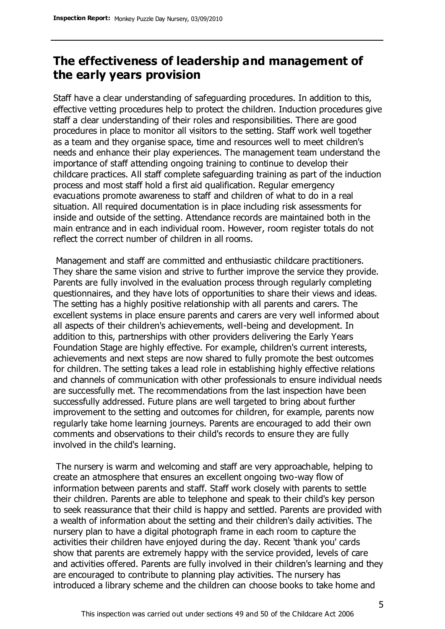# **The effectiveness of leadership and management of the early years provision**

Staff have a clear understanding of safeguarding procedures. In addition to this, effective vetting procedures help to protect the children. Induction procedures give staff a clear understanding of their roles and responsibilities. There are good procedures in place to monitor all visitors to the setting. Staff work well together as a team and they organise space, time and resources well to meet children's needs and enhance their play experiences. The management team understand the importance of staff attending ongoing training to continue to develop their childcare practices. All staff complete safeguarding training as part of the induction process and most staff hold a first aid qualification. Regular emergency evacuations promote awareness to staff and children of what to do in a real situation. All required documentation is in place including risk assessments for inside and outside of the setting. Attendance records are maintained both in the main entrance and in each individual room. However, room register totals do not reflect the correct number of children in all rooms.

Management and staff are committed and enthusiastic childcare practitioners. They share the same vision and strive to further improve the service they provide. Parents are fully involved in the evaluation process through regularly completing questionnaires, and they have lots of opportunities to share their views and ideas. The setting has a highly positive relationship with all parents and carers. The excellent systems in place ensure parents and carers are very well informed about all aspects of their children's achievements, well-being and development. In addition to this, partnerships with other providers delivering the Early Years Foundation Stage are highly effective. For example, children's current interests, achievements and next steps are now shared to fully promote the best outcomes for children. The setting takes a lead role in establishing highly effective relations and channels of communication with other professionals to ensure individual needs are successfully met. The recommendations from the last inspection have been successfully addressed. Future plans are well targeted to bring about further improvement to the setting and outcomes for children, for example, parents now regularly take home learning journeys. Parents are encouraged to add their own comments and observations to their child's records to ensure they are fully involved in the child's learning.

The nursery is warm and welcoming and staff are very approachable, helping to create an atmosphere that ensures an excellent ongoing two-way flow of information between parents and staff. Staff work closely with parents to settle their children. Parents are able to telephone and speak to their child's key person to seek reassurance that their child is happy and settled. Parents are provided with a wealth of information about the setting and their children's daily activities. The nursery plan to have a digital photograph frame in each room to capture the activities their children have enjoyed during the day. Recent 'thank you' cards show that parents are extremely happy with the service provided, levels of care and activities offered. Parents are fully involved in their children's learning and they are encouraged to contribute to planning play activities. The nursery has introduced a library scheme and the children can choose books to take home and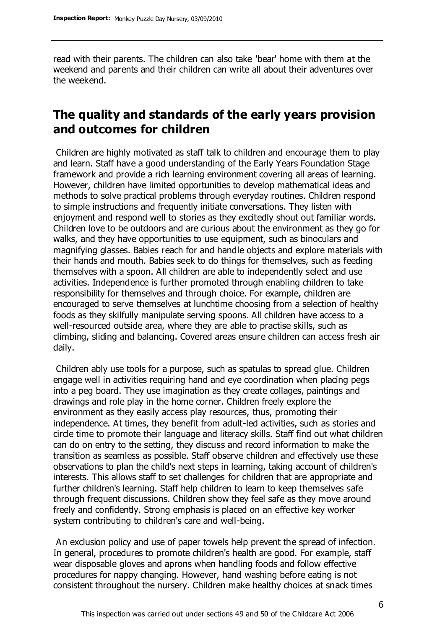read with their parents. The children can also take 'bear' home with them at the weekend and parents and their children can write all about their adventures over the weekend.

# **The quality and standards of the early years provision and outcomes for children**

Children are highly motivated as staff talk to children and encourage them to play and learn. Staff have a good understanding of the Early Years Foundation Stage framework and provide a rich learning environment covering all areas of learning. However, children have limited opportunities to develop mathematical ideas and methods to solve practical problems through everyday routines. Children respond to simple instructions and frequently initiate conversations. They listen with enjoyment and respond well to stories as they excitedly shout out familiar words. Children love to be outdoors and are curious about the environment as they go for walks, and they have opportunities to use equipment, such as binoculars and magnifying glasses. Babies reach for and handle objects and explore materials with their hands and mouth. Babies seek to do things for themselves, such as feeding themselves with a spoon. All children are able to independently select and use activities. Independence is further promoted through enabling children to take responsibility for themselves and through choice. For example, children are encouraged to serve themselves at lunchtime choosing from a selection of healthy foods as they skilfully manipulate serving spoons. All children have access to a well-resourced outside area, where they are able to practise skills, such as climbing, sliding and balancing. Covered areas ensure children can access fresh air daily.

Children ably use tools for a purpose, such as spatulas to spread glue. Children engage well in activities requiring hand and eye coordination when placing pegs into a peg board. They use imagination as they create collages, paintings and drawings and role play in the home corner. Children freely explore the environment as they easily access play resources, thus, promoting their independence. At times, they benefit from adult-led activities, such as stories and circle time to promote their language and literacy skills. Staff find out what children can do on entry to the setting, they discuss and record information to make the transition as seamless as possible. Staff observe children and effectively use these observations to plan the child's next steps in learning, taking account of children's interests. This allows staff to set challenges for children that are appropriate and further children's learning. Staff help children to learn to keep themselves safe through frequent discussions. Children show they feel safe as they move around freely and confidently. Strong emphasis is placed on an effective key worker system contributing to children's care and well-being.

An exclusion policy and use of paper towels help prevent the spread of infection. In general, procedures to promote children's health are good. For example, staff wear disposable gloves and aprons when handling foods and follow effective procedures for nappy changing. However, hand washing before eating is not consistent throughout the nursery. Children make healthy choices at snack times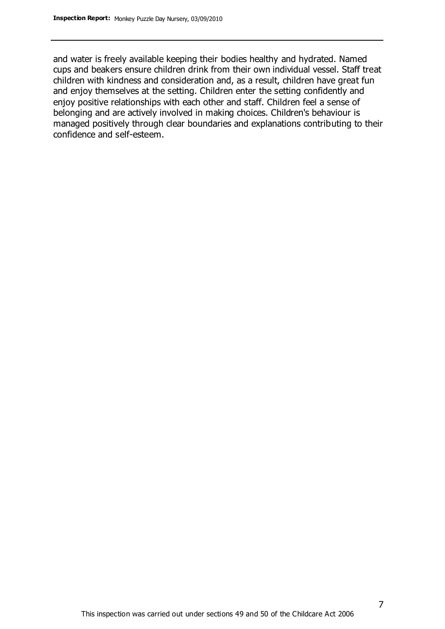and water is freely available keeping their bodies healthy and hydrated. Named cups and beakers ensure children drink from their own individual vessel. Staff treat children with kindness and consideration and, as a result, children have great fun and enjoy themselves at the setting. Children enter the setting confidently and enjoy positive relationships with each other and staff. Children feel a sense of belonging and are actively involved in making choices. Children's behaviour is managed positively through clear boundaries and explanations contributing to their confidence and self-esteem.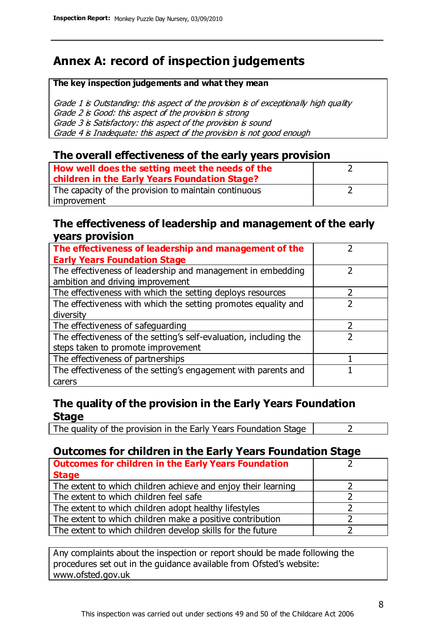# **Annex A: record of inspection judgements**

#### **The key inspection judgements and what they mean**

Grade 1 is Outstanding: this aspect of the provision is of exceptionally high quality Grade 2 is Good: this aspect of the provision is strong Grade 3 is Satisfactory: this aspect of the provision is sound Grade 4 is Inadequate: this aspect of the provision is not good enough

### **The overall effectiveness of the early years provision**

| How well does the setting meet the needs of the<br>children in the Early Years Foundation Stage? |  |
|--------------------------------------------------------------------------------------------------|--|
| The capacity of the provision to maintain continuous                                             |  |
| improvement                                                                                      |  |

### **The effectiveness of leadership and management of the early years provision**

| The effectiveness of leadership and management of the                                           |   |
|-------------------------------------------------------------------------------------------------|---|
| <b>Early Years Foundation Stage</b>                                                             |   |
| The effectiveness of leadership and management in embedding<br>ambition and driving improvement |   |
| The effectiveness with which the setting deploys resources                                      |   |
| The effectiveness with which the setting promotes equality and                                  |   |
| diversity                                                                                       |   |
| The effectiveness of safeguarding                                                               |   |
| The effectiveness of the setting's self-evaluation, including the                               | າ |
| steps taken to promote improvement                                                              |   |
| The effectiveness of partnerships                                                               |   |
| The effectiveness of the setting's engagement with parents and                                  |   |
| carers                                                                                          |   |

## **The quality of the provision in the Early Years Foundation Stage**

The quality of the provision in the Early Years Foundation Stage  $\vert$  2

## **Outcomes for children in the Early Years Foundation Stage**

| <b>Outcomes for children in the Early Years Foundation</b>    |  |
|---------------------------------------------------------------|--|
| <b>Stage</b>                                                  |  |
| The extent to which children achieve and enjoy their learning |  |
| The extent to which children feel safe                        |  |
| The extent to which children adopt healthy lifestyles         |  |
| The extent to which children make a positive contribution     |  |
| The extent to which children develop skills for the future    |  |

Any complaints about the inspection or report should be made following the procedures set out in the guidance available from Ofsted's website: www.ofsted.gov.uk